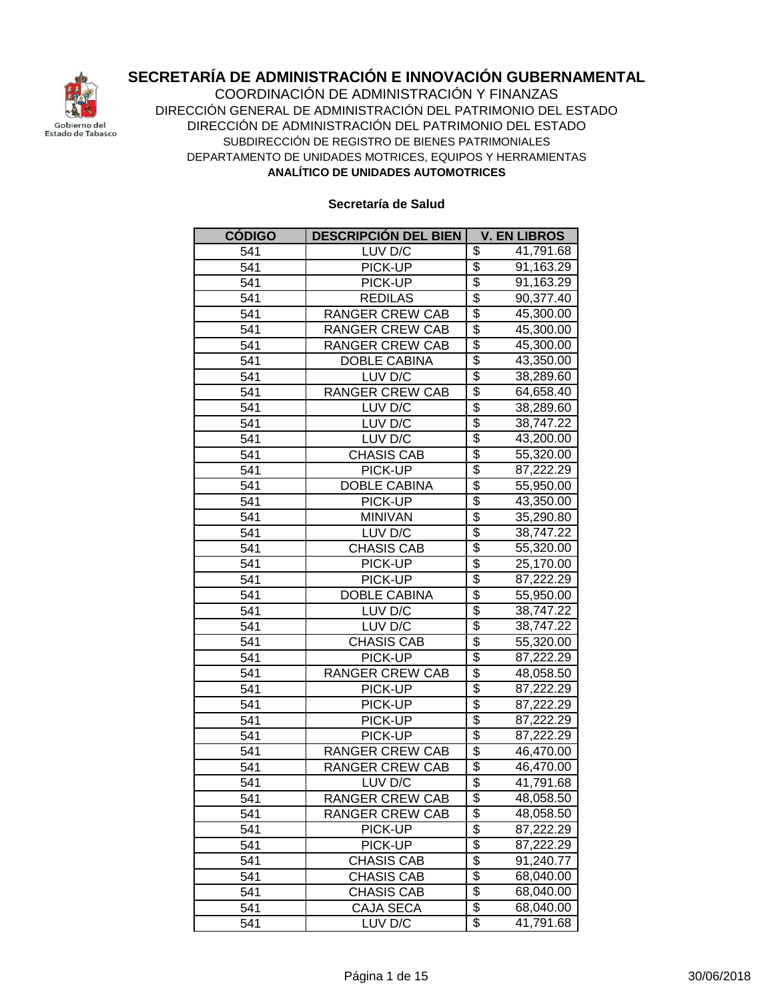

**ANALÍTICO DE UNIDADES AUTOMOTRICES** COORDINACIÓN DE ADMINISTRACIÓN Y FINANZAS DIRECCIÓN GENERAL DE ADMINISTRACIÓN DEL PATRIMONIO DEL ESTADO DIRECCIÓN DE ADMINISTRACIÓN DEL PATRIMONIO DEL ESTADO SUBDIRECCIÓN DE REGISTRO DE BIENES PATRIMONIALES DEPARTAMENTO DE UNIDADES MOTRICES, EQUIPOS Y HERRAMIENTAS

| <b>CÓDIGO</b> | <b>DESCRIPCIÓN DEL BIEN</b> | <b>V. EN LIBROS</b>                        |
|---------------|-----------------------------|--------------------------------------------|
| 541           | LUV D/C                     | \$<br>41,791.68                            |
| 541           | PICK-UP                     | $\overline{\$}$<br>91,163.29               |
| 541           | PICK-UP                     | \$<br>91,163.29                            |
| 541           | <b>REDILAS</b>              | \$<br>90,377.40                            |
| 541           | <b>RANGER CREW CAB</b>      | \$<br>45,300.00                            |
| 541           | <b>RANGER CREW CAB</b>      | $\overline{\$}$<br>45,300.00               |
| 541           | <b>RANGER CREW CAB</b>      | \$<br>45,300.00                            |
| 541           | <b>DOBLE CABINA</b>         | $\overline{\$}$<br>43,350.00               |
| 541           | LUV D/C                     | \$<br>38,289.60                            |
| 541           | <b>RANGER CREW CAB</b>      | \$<br>64,658.40                            |
| 541           | LUV D/C                     | \$<br>38,289.60                            |
| 541           | LUV D/C                     | \$<br>38,747.22                            |
| 541           | LUV D/C                     | \$<br>43,200.00                            |
| 541           | <b>CHASIS CAB</b>           | $\overline{\$}$<br>55,320.00               |
| 541           | PICK-UP                     | $\overline{\$}$<br>87,222.29               |
| 541           | <b>DOBLE CABINA</b>         | $\overline{\$}$<br>55,950.00               |
| 541           | PICK-UP                     | $\overline{\$}$<br>43,350.00               |
| 541           | <b>MINIVAN</b>              | \$<br>35,290.80                            |
| 541           | LUV D/C                     | $\overline{\$}$<br>38,747.22               |
| 541           | <b>CHASIS CAB</b>           | $\overline{\$}$<br>55,320.00               |
| 541           | PICK-UP                     | $\overline{\$}$<br>25,170.00               |
| 541           | PICK-UP                     | $\overline{\$}$<br>87,222.29               |
| 541           | <b>DOBLE CABINA</b>         | $\overline{\$}$<br>55,950.00               |
| 541           | LUV D/C                     | \$<br>38,747.22                            |
| 541           | LUV D/C                     | \$<br>38,747.22                            |
| 541           | <b>CHASIS CAB</b>           | \$<br>$\overline{55},320.00$               |
| 541           | PICK-UP                     | $\overline{\$}$<br>$\overline{87}, 222.29$ |
| 541           | <b>RANGER CREW CAB</b>      | $\overline{\$}$<br>48,058.50               |
| 541           | PICK-UP                     | $\overline{\$}$<br>87,222.29               |
| 541           | PICK-UP                     | \$<br>87,222.29                            |
| 541           | PICK-UP                     | $\overline{\$}$<br>87,222.29               |
| 541           | PICK-UP                     | $\overline{\$}$<br>87,222.29               |
| 541           | <b>RANGER CREW CAB</b>      | \$<br>46,470.00                            |
| 541           | <b>RANGER CREW CAB</b>      | \$<br>46,470.00                            |
| 541           | LUV D/C                     | $\overline{\$}$<br>41,791.68               |
| 541           | RANGER CREW CAB             | \$<br>48,058.50                            |
| 541           | RANGER CREW CAB             | \$<br>48,058.50                            |
| 541           | PICK-UP                     | \$<br>87,222.29                            |
| 541           | PICK-UP                     | $\overline{\$}$<br>87,222.29               |
| 541           | <b>CHASIS CAB</b>           | \$<br>91,240.77                            |
| 541           | <b>CHASIS CAB</b>           | $\overline{\$}$<br>68,040.00               |
| 541           | <b>CHASIS CAB</b>           | $\overline{\$}$<br>68,040.00               |
| 541           | CAJA SECA                   | \$<br>68,040.00                            |
| 541           | LUV D/C                     | $\overline{\$}$<br>41,791.68               |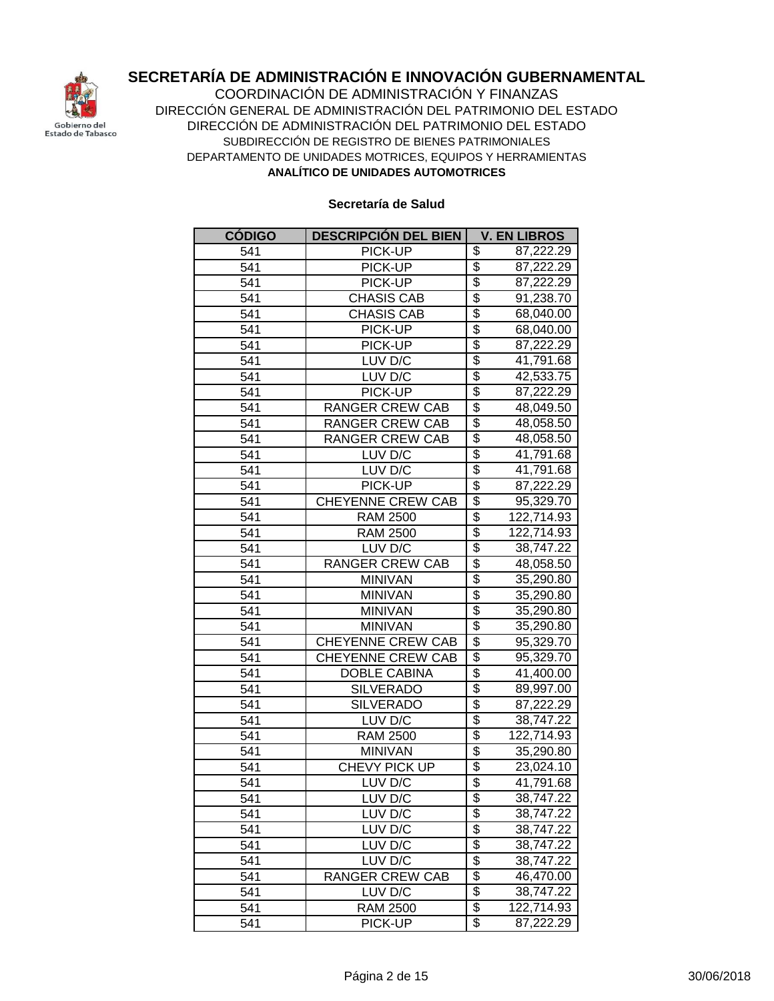

**ANALÍTICO DE UNIDADES AUTOMOTRICES** COORDINACIÓN DE ADMINISTRACIÓN Y FINANZAS DIRECCIÓN GENERAL DE ADMINISTRACIÓN DEL PATRIMONIO DEL ESTADO DIRECCIÓN DE ADMINISTRACIÓN DEL PATRIMONIO DEL ESTADO SUBDIRECCIÓN DE REGISTRO DE BIENES PATRIMONIALES DEPARTAMENTO DE UNIDADES MOTRICES, EQUIPOS Y HERRAMIENTAS

| <b>CÓDIGO</b> | <b>DESCRIPCIÓN DEL BIEN</b> | <b>V. EN LIBROS</b>                        |
|---------------|-----------------------------|--------------------------------------------|
| 541           | PICK-UP                     | \$<br>87,222.29                            |
| 541           | PICK-UP                     | $\overline{\$}$<br>87,222.29               |
| 541           | PICK-UP                     | $\overline{\$}$<br>87,222.29               |
| 541           | <b>CHASIS CAB</b>           | $\overline{\$}$<br>91,238.70               |
| 541           | <b>CHASIS CAB</b>           | $\overline{\$}$<br>68,040.00               |
| 541           | PICK-UP                     | \$<br>68,040.00                            |
| 541           | PICK-UP                     | \$<br>87,222.29                            |
| 541           | LUV D/C                     | $\overline{\$}$<br>41,791.68               |
| 541           | LUV D/C                     | \$<br>42,533.75                            |
| 541           | PICK-UP                     | $\overline{\$}$<br>$\overline{87}, 222.29$ |
| 541           | <b>RANGER CREW CAB</b>      | \$<br>48,049.50                            |
| 541           | <b>RANGER CREW CAB</b>      | \$<br>48,058.50                            |
| 541           | <b>RANGER CREW CAB</b>      | \$<br>48,058.50                            |
| 541           | LUV D/C                     | \$<br>41,791.68                            |
| 541           | LUV D/C                     | \$<br>41,791.68                            |
| 541           | PICK-UP                     | \$<br>87,222.29                            |
| 541           | <b>CHEYENNE CREW CAB</b>    | \$<br>95,329.70                            |
| 541           | <b>RAM 2500</b>             | \$<br>122,714.93                           |
| 541           | <b>RAM 2500</b>             | $\overline{\$}$<br>122,714.93              |
| 541           | LUV D/C                     | $\overline{\$}$<br>38,747.22               |
| 541           | <b>RANGER CREW CAB</b>      | $\overline{\$}$<br>48,058.50               |
| 541           | <b>MINIVAN</b>              | $\overline{\$}$<br>35,290.80               |
| 541           | <b>MINIVAN</b>              | $\overline{\$}$<br>35,290.80               |
| 541           | <b>MINIVAN</b>              | \$<br>35,290.80                            |
| 541           | <b>MINIVAN</b>              | \$<br>35,290.80                            |
| 541           | <b>CHEYENNE CREW CAB</b>    | \$<br>95,329.70                            |
| 541           | CHEYENNE CREW CAB           | $\overline{\$}$<br>95,329.70               |
| 541           | <b>DOBLE CABINA</b>         | \$<br>41,400.00                            |
| 541           | <b>SILVERADO</b>            | $\overline{\$}$<br>89,997.00               |
| 541           | <b>SILVERADO</b>            | \$<br>87,222.29                            |
| 541           | LUV D/C                     | \$<br>38,747.22                            |
| 541           | <b>RAM 2500</b>             | \$<br>122,714.93                           |
| 541           | <b>MINIVAN</b>              | \$<br>35,290.80                            |
| 541           | CHEVY PICK UP               | $\overline{\$}$<br>23,024.10               |
| 541           | LUV D/C                     | $\overline{\$}$<br>41,791.68               |
| 541           | LUV D/C                     | \$<br>38,747.22                            |
| 541           | LUV D/C                     | \$<br>38,747.22                            |
| 541           | LUV D/C                     | \$<br>38,747.22                            |
| 541           | LUV D/C                     | $\overline{\$}$<br>38,747.22               |
| 541           | LUV D/C                     | \$<br>38,747.22                            |
| 541           | RANGER CREW CAB             | \$<br>46,470.00                            |
| 541           | LUV D/C                     | \$<br>38,747.22                            |
| 541           | <b>RAM 2500</b>             | \$<br>122,714.93                           |
| 541           | PICK-UP                     | $\overline{\mathcal{E}}$<br>87,222.29      |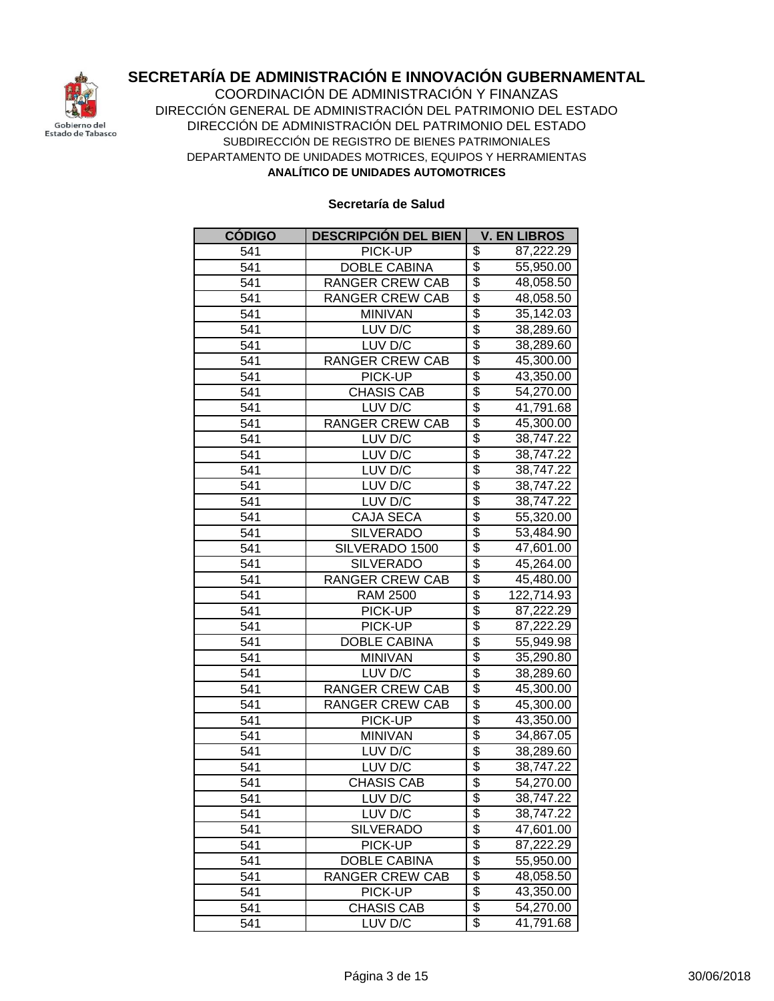

**ANALÍTICO DE UNIDADES AUTOMOTRICES** COORDINACIÓN DE ADMINISTRACIÓN Y FINANZAS DIRECCIÓN GENERAL DE ADMINISTRACIÓN DEL PATRIMONIO DEL ESTADO DIRECCIÓN DE ADMINISTRACIÓN DEL PATRIMONIO DEL ESTADO SUBDIRECCIÓN DE REGISTRO DE BIENES PATRIMONIALES DEPARTAMENTO DE UNIDADES MOTRICES, EQUIPOS Y HERRAMIENTAS

| <b>CÓDIGO</b> | <b>DESCRIPCIÓN DEL BIEN</b> | <b>V. EN LIBROS</b>                   |
|---------------|-----------------------------|---------------------------------------|
| 541           | PICK-UP                     | \$<br>87,222.29                       |
| 541           | <b>DOBLE CABINA</b>         | \$<br>55,950.00                       |
| 541           | <b>RANGER CREW CAB</b>      | $\overline{\$}$<br>48,058.50          |
| 541           | <b>RANGER CREW CAB</b>      | \$<br>48,058.50                       |
| 541           | <b>MINIVAN</b>              | \$<br>35,142.03                       |
| 541           | LUV D/C                     | \$<br>38,289.60                       |
| 541           | LUV D/C                     | $\overline{\$}$<br>38,289.60          |
| 541           | <b>RANGER CREW CAB</b>      | \$<br>45,300.00                       |
| 541           | PICK-UP                     | $\overline{\$}$<br>43,350.00          |
| 541           | <b>CHASIS CAB</b>           | $\overline{\$}$<br>54,270.00          |
| 541           | LUV D/C                     | $\overline{\$}$<br>41,791.68          |
| 541           | <b>RANGER CREW CAB</b>      | \$<br>45,300.00                       |
| 541           | LUV D/C                     | \$<br>38,747.22                       |
| 541           | LUV D/C                     | \$<br>38,747.22                       |
| 541           | LUV D/C                     | \$<br>38,747.22                       |
| 541           | LUV D/C                     | \$<br>38,747.22                       |
| 541           | LUV D/C                     | \$<br>38,747.22                       |
| 541           | <b>CAJA SECA</b>            | $\overline{\$}$<br>55,320.00          |
| 541           | <b>SILVERADO</b>            | $\overline{\$}$<br>53,484.90          |
| 541           | SILVERADO 1500              | $\overline{\$}$<br>47,601.00          |
| 541           | <b>SILVERADO</b>            | \$<br>45,264.00                       |
| 541           | <b>RANGER CREW CAB</b>      | $\overline{\$}$<br>45,480.00          |
| 541           | <b>RAM 2500</b>             | $\overline{\$}$<br>122,714.93         |
| 541           | PICK-UP                     | \$<br>87,222.29                       |
| 541           | PICK-UP                     | \$<br>87,222.29                       |
| 541           | <b>DOBLE CABINA</b>         | \$<br>55,949.98                       |
| 541           | <b>MINIVAN</b>              | \$<br>35,290.80                       |
| 541           | LUV D/C                     | $\overline{\$}$<br>38,289.60          |
| 541           | <b>RANGER CREW CAB</b>      | \$<br>45,300.00                       |
| 541           | <b>RANGER CREW CAB</b>      | $\overline{\$}$<br>45,300.00          |
| 541           | PICK-UP                     | $\overline{\$}$<br>43,350.00          |
| 541           | <b>MINIVAN</b>              | $\overline{\$}$<br>34,867.05          |
| 541           | LUV D/C                     | $\overline{\$}$<br>38,289.60          |
| 541           | LUV D/C                     | \$<br>38,747.22                       |
| 541           | <b>CHASIS CAB</b>           | $\overline{\$}$<br>54,270.00          |
| 541           | LUV D/C                     | \$<br>38,747.22                       |
| 541           | LUV D/C                     | \$<br>38,747.22                       |
| 541           | <b>SILVERADO</b>            | \$<br>47,601.00                       |
| 541           | PICK-UP                     | \$<br>87,222.29                       |
| 541           | DOBLE CABINA                | \$<br>55,950.00                       |
| 541           | <b>RANGER CREW CAB</b>      | \$<br>48,058.50                       |
| 541           | PICK-UP                     | \$<br>43,350.00                       |
| 541           | <b>CHASIS CAB</b>           | \$<br>54,270.00                       |
| 541           | LUV D/C                     | $\overline{\mathcal{E}}$<br>41,791.68 |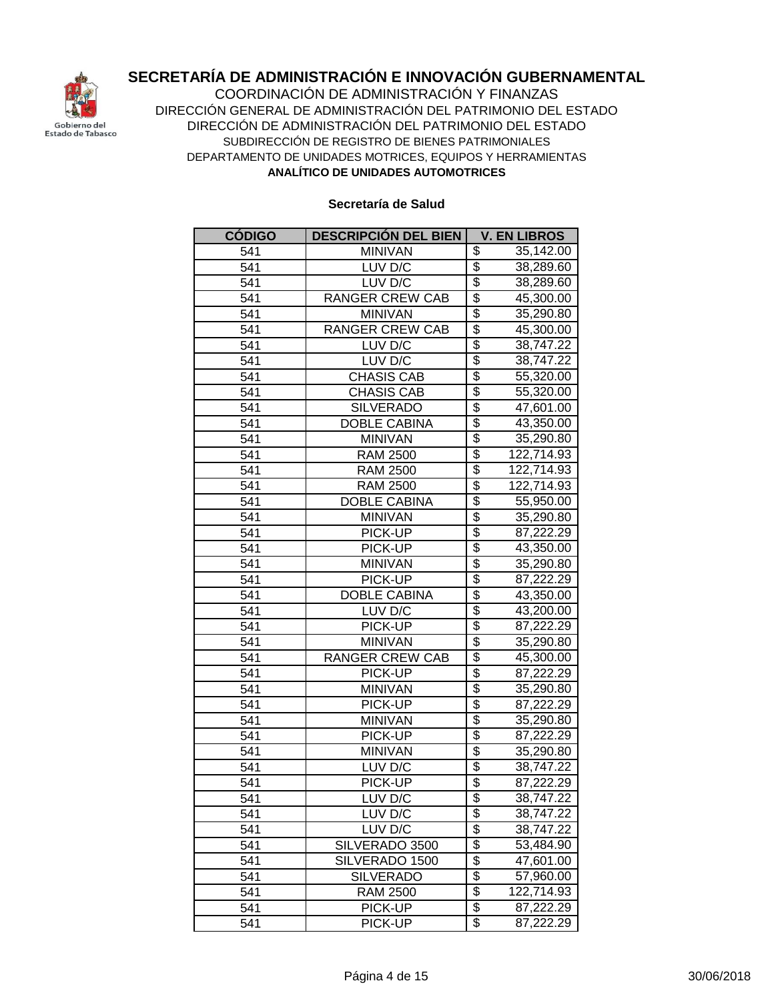

**ANALÍTICO DE UNIDADES AUTOMOTRICES** COORDINACIÓN DE ADMINISTRACIÓN Y FINANZAS DIRECCIÓN GENERAL DE ADMINISTRACIÓN DEL PATRIMONIO DEL ESTADO DIRECCIÓN DE ADMINISTRACIÓN DEL PATRIMONIO DEL ESTADO SUBDIRECCIÓN DE REGISTRO DE BIENES PATRIMONIALES DEPARTAMENTO DE UNIDADES MOTRICES, EQUIPOS Y HERRAMIENTAS

| <b>CÓDIGO</b>     | <b>DESCRIPCIÓN DEL BIEN</b> | <b>V. EN LIBROS</b>           |
|-------------------|-----------------------------|-------------------------------|
| 541               | <b>MINIVAN</b>              | \$<br>35,142.00               |
| 541               | LUV D/C                     | $\overline{\$}$<br>38,289.60  |
| 541               | LUV D/C                     | \$<br>38,289.60               |
| 541               | <b>RANGER CREW CAB</b>      | \$<br>45,300.00               |
| 541               | <b>MINIVAN</b>              | \$<br>35,290.80               |
| 541               | <b>RANGER CREW CAB</b>      | \$<br>45,300.00               |
| 541               | LUV D/C                     | \$<br>38,747.22               |
| 541               | LUV D/C                     | \$<br>38,747.22               |
| 541               | <b>CHASIS CAB</b>           | \$<br>55,320.00               |
| $\overline{5}$ 41 | <b>CHASIS CAB</b>           | \$<br>55,320.00               |
| 541               | <b>SILVERADO</b>            | \$<br>47,601.00               |
| 541               | <b>DOBLE CABINA</b>         | \$<br>43,350.00               |
| 541               | <b>MINIVAN</b>              | \$<br>35,290.80               |
| 541               | <b>RAM 2500</b>             | $\overline{\$}$<br>122,714.93 |
| 541               | <b>RAM 2500</b>             | $\overline{\$}$<br>122,714.93 |
| 541               | <b>RAM 2500</b>             | $\overline{\$}$<br>122,714.93 |
| 541               | <b>DOBLE CABINA</b>         | $\overline{\$}$<br>55,950.00  |
| 541               | <b>MINIVAN</b>              | $\overline{\$}$<br>35,290.80  |
| 541               | PICK-UP                     | $\overline{\$}$<br>87,222.29  |
| 541               | PICK-UP                     | \$<br>43,350.00               |
| 541               | <b>MINIVAN</b>              | $\overline{\$}$<br>35,290.80  |
| 541               | PICK-UP                     | $\overline{\$}$<br>87,222.29  |
| 541               | <b>DOBLE CABINA</b>         | $\overline{\$}$<br>43,350.00  |
| 541               | LUV D/C                     | \$<br>43,200.00               |
| 541               | PICK-UP                     | \$<br>87,222.29               |
| 541               | <b>MINIVAN</b>              | \$<br>35,290.80               |
| 541               | <b>RANGER CREW CAB</b>      | $\overline{\$}$<br>45,300.00  |
| 541               | PICK-UP                     | $\overline{\$}$<br>87,222.29  |
| 541               | <b>MINIVAN</b>              | $\overline{\$}$<br>35,290.80  |
| 541               | PICK-UP                     | $\overline{\$}$<br>87,222.29  |
| 541               | <b>MINIVAN</b>              | $\overline{\$}$<br>35,290.80  |
| 541               | PICK-UP                     | $\overline{\$}$<br>87,222.29  |
| 541               | <b>MINIVAN</b>              | \$<br>35,290.80               |
| 541               | LUV D/C                     | \$<br>38,747.22               |
| 541               | PICK-UP                     | \$<br>87,222.29               |
| 541               | LUV D/C                     | \$<br>38,747.22               |
| 541               | LUV D/C                     | \$<br>38,747.22               |
| 541               | LUV D/C                     | \$<br>38,747.22               |
| 541               | SILVERADO 3500              | $\overline{\$}$<br>53,484.90  |
| 541               | SILVERADO 1500              | \$<br>47,601.00               |
| 541               | <b>SILVERADO</b>            | $\overline{\$}$<br>57,960.00  |
| 541               | <b>RAM 2500</b>             | \$<br>122,714.93              |
| 541               | PICK-UP                     | \$<br>87,222.29               |
| 541               | PICK-UP                     | $\overline{\$}$<br>87,222.29  |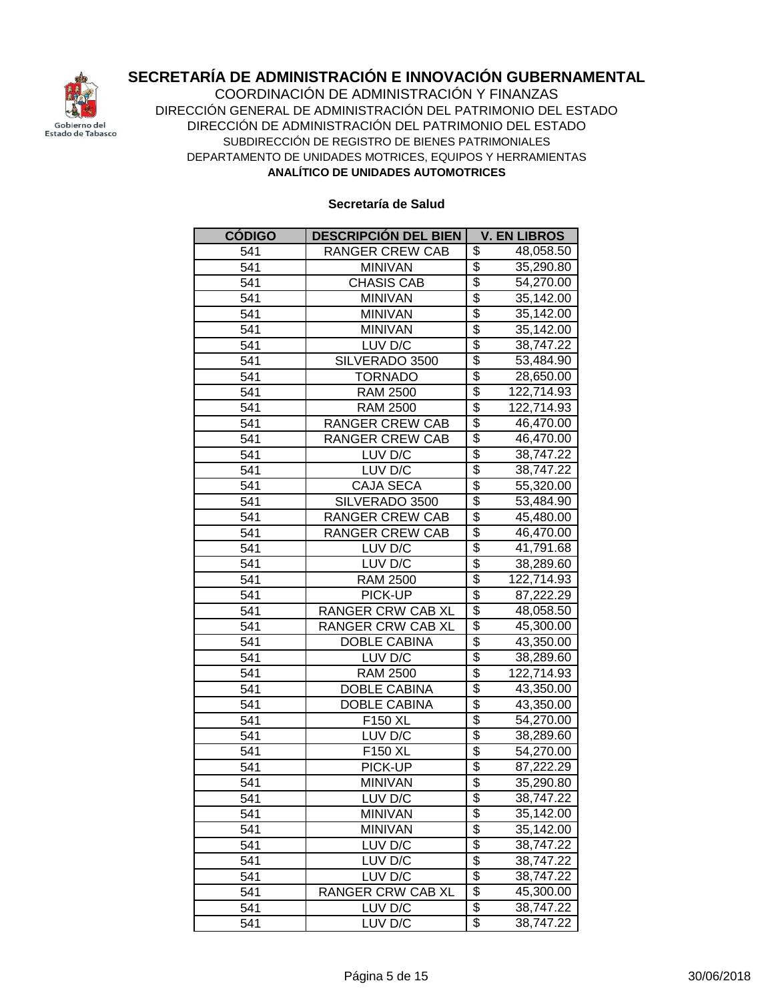

**ANALÍTICO DE UNIDADES AUTOMOTRICES** COORDINACIÓN DE ADMINISTRACIÓN Y FINANZAS DIRECCIÓN GENERAL DE ADMINISTRACIÓN DEL PATRIMONIO DEL ESTADO DIRECCIÓN DE ADMINISTRACIÓN DEL PATRIMONIO DEL ESTADO SUBDIRECCIÓN DE REGISTRO DE BIENES PATRIMONIALES DEPARTAMENTO DE UNIDADES MOTRICES, EQUIPOS Y HERRAMIENTAS

| <b>CÓDIGO</b> | <b>DESCRIPCIÓN DEL BIEN</b> | <b>V. EN LIBROS</b>                   |
|---------------|-----------------------------|---------------------------------------|
| 541           | RANGER CREW CAB             | \$<br>48,058.50                       |
| 541           | <b>MINIVAN</b>              | \$<br>35,290.80                       |
| 541           | <b>CHASIS CAB</b>           | \$<br>54,270.00                       |
| 541           | <b>MINIVAN</b>              | \$<br>35,142.00                       |
| 541           | <b>MINIVAN</b>              | \$<br>35,142.00                       |
| 541           | <b>MINIVAN</b>              | \$<br>35,142.00                       |
| 541           | LUV D/C                     | \$<br>38,747.22                       |
| 541           | SILVERADO 3500              | \$<br>53,484.90                       |
| 541           | <b>TORNADO</b>              | \$<br>28,650.00                       |
| 541           | <b>RAM 2500</b>             | $\overline{\$}$<br>122,714.93         |
| 541           | <b>RAM 2500</b>             | $\overline{\$}$<br>122,714.93         |
| 541           | <b>RANGER CREW CAB</b>      | $\overline{\$}$<br>46,470.00          |
| 541           | <b>RANGER CREW CAB</b>      | \$<br>46,470.00                       |
| 541           | LUV D/C                     | \$<br>38,747.22                       |
| 541           | LUV D/C                     | \$<br>38,747.22                       |
| 541           | <b>CAJA SECA</b>            | $\overline{\$}$<br>55,320.00          |
| 541           | SILVERADO 3500              | $\overline{\$}$<br>53,484.90          |
| 541           | <b>RANGER CREW CAB</b>      | $\overline{\$}$<br>45,480.00          |
| 541           | <b>RANGER CREW CAB</b>      | $\overline{\$}$<br>46,470.00          |
| 541           | LUV D/C                     | $\overline{\$}$<br>41,791.68          |
| 541           | LUV D/C                     | $\overline{\$}$<br>38,289.60          |
| 541           | <b>RAM 2500</b>             | \$<br>122,714.93                      |
| 541           | PICK-UP                     | $\overline{\$}$<br>87,222.29          |
| 541           | <b>RANGER CRW CAB XL</b>    | \$<br>48,058.50                       |
| 541           | RANGER CRW CAB XL           | \$<br>45,300.00                       |
| 541           | <b>DOBLE CABINA</b>         | \$<br>43,350.00                       |
| 541           | LUV D/C                     | \$<br>38,289.60                       |
| 541           | <b>RAM 2500</b>             | \$<br>122,714.93                      |
| 541           | <b>DOBLE CABINA</b>         | \$<br>43,350.00                       |
| 541           | <b>DOBLE CABINA</b>         | $\overline{\$}$<br>43,350.00          |
| 541           | F150 XL                     | $\overline{\$}$<br>54,270.00          |
| 541           | LUV D/C                     | $\overline{\mathcal{E}}$<br>38,289.60 |
| 541           | F150 XL                     | $\overline{\$}$<br>54,270.00          |
| 541           | PICK-UP                     | $\overline{\$}$<br>87,222.29          |
| 541           | <b>MINIVAN</b>              | \$<br>35,290.80                       |
| 541           | LUV D/C                     | \$<br>38,747.22                       |
| 541           | <b>MINIVAN</b>              | \$<br>35,142.00                       |
| 541           | <b>MINIVAN</b>              | \$<br>35,142.00                       |
| 541           | LUV D/C                     | $\overline{\mathcal{G}}$<br>38,747.22 |
| 541           | LUV D/C                     | $\overline{\$}$<br>38,747.22          |
| 541           | LUV D/C                     | $\overline{\$}$<br>38,747.22          |
| 541           | RANGER CRW CAB XL           | $\overline{\$}$<br>45,300.00          |
| 541           | LUV D/C                     | \$<br>38,747.22                       |
| 541           | LUV D/C                     | $\overline{\mathcal{E}}$<br>38,747.22 |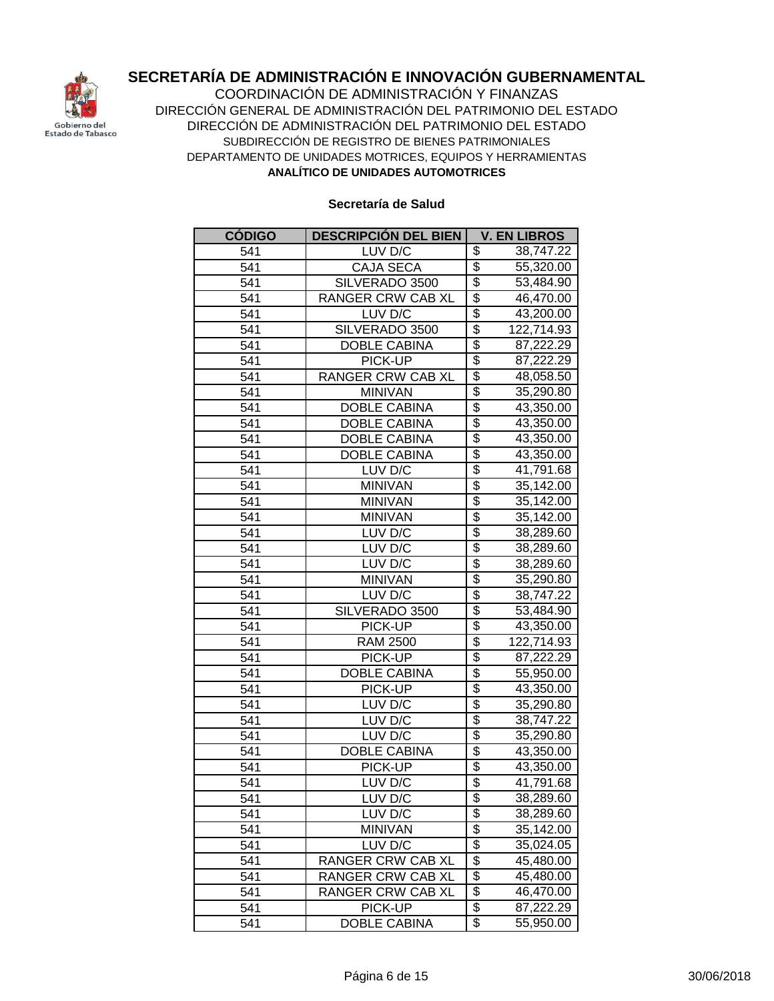

**ANALÍTICO DE UNIDADES AUTOMOTRICES** COORDINACIÓN DE ADMINISTRACIÓN Y FINANZAS DIRECCIÓN GENERAL DE ADMINISTRACIÓN DEL PATRIMONIO DEL ESTADO DIRECCIÓN DE ADMINISTRACIÓN DEL PATRIMONIO DEL ESTADO SUBDIRECCIÓN DE REGISTRO DE BIENES PATRIMONIALES DEPARTAMENTO DE UNIDADES MOTRICES, EQUIPOS Y HERRAMIENTAS

| <b>CÓDIGO</b> | <b>DESCRIPCIÓN DEL BIEN</b> | <b>V. EN LIBROS</b>                   |
|---------------|-----------------------------|---------------------------------------|
| 541           | LUV D/C                     | \$<br>38,747.22                       |
| 541           | <b>CAJA SECA</b>            | \$<br>55,320.00                       |
| 541           | SILVERADO 3500              | $\overline{\$}$<br>53,484.90          |
| 541           | <b>RANGER CRW CAB XL</b>    | $\overline{\$}$<br>46,470.00          |
| 541           | LUV D/C                     | \$<br>43,200.00                       |
| 541           | SILVERADO 3500              | \$<br>122,714.93                      |
| 541           | <b>DOBLE CABINA</b>         | \$<br>87,222.29                       |
| 541           | PICK-UP                     | $\overline{\$}$<br>87,222.29          |
| 541           | RANGER CRW CAB XL           | \$<br>48,058.50                       |
| 541           | <b>MINIVAN</b>              | $\overline{\$}$<br>35,290.80          |
| 541           | <b>DOBLE CABINA</b>         | \$<br>43,350.00                       |
| 541           | <b>DOBLE CABINA</b>         | \$<br>43,350.00                       |
| 541           | <b>DOBLE CABINA</b>         | \$<br>43,350.00                       |
| 541           | <b>DOBLE CABINA</b>         | \$<br>43,350.00                       |
| 541           | LUV D/C                     | \$<br>41,791.68                       |
| 541           | <b>MINIVAN</b>              | \$<br>35,142.00                       |
| 541           | <b>MINIVAN</b>              | \$<br>35,142.00                       |
| 541           | <b>MINIVAN</b>              | $\overline{\$}$<br>35,142.00          |
| 541           | LUV D/C                     | \$<br>38,289.60                       |
| 541           | LUV D/C                     | $\overline{\$}$<br>38,289.60          |
| 541           | LUV D/C                     | $\overline{\$}$<br>38,289.60          |
| 541           | <b>MINIVAN</b>              | $\overline{\mathcal{L}}$<br>35,290.80 |
| 541           | LUV D/C                     | $\overline{\$}$<br>38,747.22          |
| 541           | SILVERADO 3500              | $\overline{\$}$<br>53,484.90          |
| 541           | PICK-UP                     | \$<br>43,350.00                       |
| 541           | <b>RAM 2500</b>             | \$<br>122,714.93                      |
| 541           | PICK-UP                     | \$<br>87,222.29                       |
| 541           | <b>DOBLE CABINA</b>         | \$<br>55,950.00                       |
| 541           | PICK-UP                     | \$<br>43,350.00                       |
| 541           | LUV D/C                     | \$<br>35,290.80                       |
| 541           | LUV D/C                     | $\overline{\$}$<br>38,747.22          |
| 541           | LUV D/C                     | \$<br>35,290.80                       |
| 541           | <b>DOBLE CABINA</b>         | $\overline{\$}$<br>43,350.00          |
| 541           | PICK-UP                     | \$<br>43,350.00                       |
| 541           | LUV D/C                     | \$<br>41,791.68                       |
| 541           | LUV D/C                     | \$<br>38,289.60                       |
| 541           | LUV D/C                     | \$<br>38,289.60                       |
| 541           | <b>MINIVAN</b>              | \$<br>35,142.00                       |
| 541           | LUV D/C                     | $\overline{\mathcal{G}}$<br>35,024.05 |
| 541           | RANGER CRW CAB XL           | $\overline{\$}$<br>45,480.00          |
| 541           | RANGER CRW CAB XL           | \$<br>45,480.00                       |
| 541           | RANGER CRW CAB XL           | \$<br>46,470.00                       |
| 541           | PICK-UP                     | \$<br>87,222.29                       |
| 541           | <b>DOBLE CABINA</b>         | \$<br>55,950.00                       |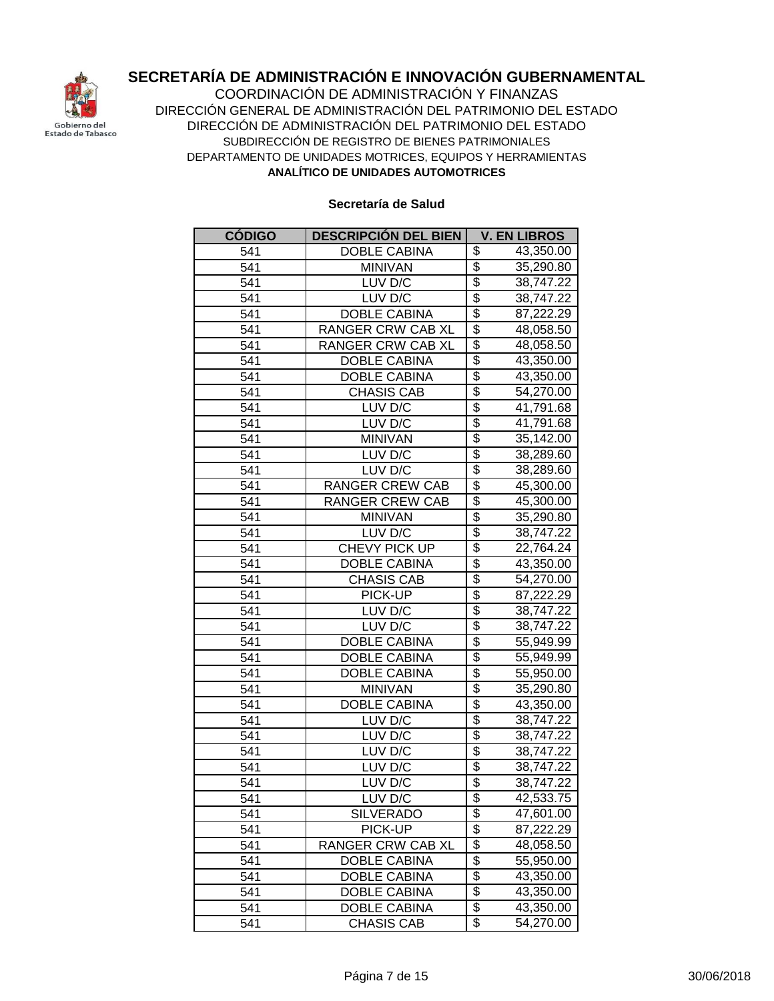

**ANALÍTICO DE UNIDADES AUTOMOTRICES** COORDINACIÓN DE ADMINISTRACIÓN Y FINANZAS DIRECCIÓN GENERAL DE ADMINISTRACIÓN DEL PATRIMONIO DEL ESTADO DIRECCIÓN DE ADMINISTRACIÓN DEL PATRIMONIO DEL ESTADO SUBDIRECCIÓN DE REGISTRO DE BIENES PATRIMONIALES DEPARTAMENTO DE UNIDADES MOTRICES, EQUIPOS Y HERRAMIENTAS

| <b>CÓDIGO</b>    | <b>DESCRIPCIÓN DEL BIEN</b> | <b>V. EN LIBROS</b>                   |
|------------------|-----------------------------|---------------------------------------|
| 541              | <b>DOBLE CABINA</b>         | \$<br>43,350.00                       |
| 541              | <b>MINIVAN</b>              | \$<br>35,290.80                       |
| 541              | LUV D/C                     | \$<br>38,747.22                       |
| $\overline{541}$ | LUV D/C                     | \$<br>38,747.22                       |
| 541              | <b>DOBLE CABINA</b>         | \$<br>87,222.29                       |
| 541              | RANGER CRW CAB XL           | $\overline{\$}$<br>48,058.50          |
| 541              | RANGER CRW CAB XL           | \$<br>48,058.50                       |
| 541              | DOBLE CABINA                | $\overline{\$}$<br>43,350.00          |
| 541              | <b>DOBLE CABINA</b>         | \$<br>43,350.00                       |
| 541              | <b>CHASIS CAB</b>           | \$<br>54,270.00                       |
| 541              | LUV D/C                     | $\overline{\$}$<br>41,791.68          |
| 541              | LUV D/C                     | $\overline{\$}$<br>41,791.68          |
| 541              | <b>MINIVAN</b>              | \$<br>35,142.00                       |
| 541              | LUV D/C                     | \$<br>38,289.60                       |
| 541              | LUV D/C                     | \$<br>38,289.60                       |
| 541              | <b>RANGER CREW CAB</b>      | \$<br>45,300.00                       |
| 541              | RANGER CREW CAB             | \$<br>45,300.00                       |
| 541              | <b>MINIVAN</b>              | \$<br>35,290.80                       |
| 541              | LUV D/C                     | \$<br>38,747.22                       |
| 541              | CHEVY PICK UP               | \$<br>22,764.24                       |
| 541              | <b>DOBLE CABINA</b>         | $\overline{\$}$<br>43,350.00          |
| 541              | <b>CHASIS CAB</b>           | $\overline{\mathcal{G}}$<br>54,270.00 |
| 541              | PICK-UP                     | $\overline{\$}$<br>87,222.29          |
| 541              | LUV D/C                     | \$<br>38,747.22                       |
| 541              | LUV D/C                     | \$<br>38,747.22                       |
| 541              | <b>DOBLE CABINA</b>         | \$<br>55,949.99                       |
| 541              | <b>DOBLE CABINA</b>         | \$<br>55,949.99                       |
| 541              | <b>DOBLE CABINA</b>         | \$<br>55,950.00                       |
| 541              | <b>MINIVAN</b>              | $\overline{\$}$<br>35,290.80          |
| 541              | <b>DOBLE CABINA</b>         | \$<br>43,350.00                       |
| 541              | LUV D/C                     | \$<br>38,747.22                       |
| 541              | LUV D/C                     | \$<br>38,747.22                       |
| 541              | LUV D/C                     | \$<br>38,747.22                       |
| 541              | LUV D/C                     | \$<br>38,747.22                       |
| 541              | LUV D/C                     | \$<br>38,747.22                       |
| 541              | LUV D/C                     | \$<br>42,533.75                       |
| 541              | <b>SILVERADO</b>            | \$<br>47,601.00                       |
| 541              | PICK-UP                     | \$<br>$\overline{87}, 222.29$         |
| 541              | RANGER CRW CAB XL           | \$<br>48,058.50                       |
| 541              | DOBLE CABINA                | $\overline{\$}$<br>55,950.00          |
| 541              | <b>DOBLE CABINA</b>         | \$<br>43,350.00                       |
| 541              | DOBLE CABINA                | \$<br>43,350.00                       |
| 541              | <b>DOBLE CABINA</b>         | \$<br>43,350.00                       |
| 541              | <b>CHASIS CAB</b>           | \$<br>54,270.00                       |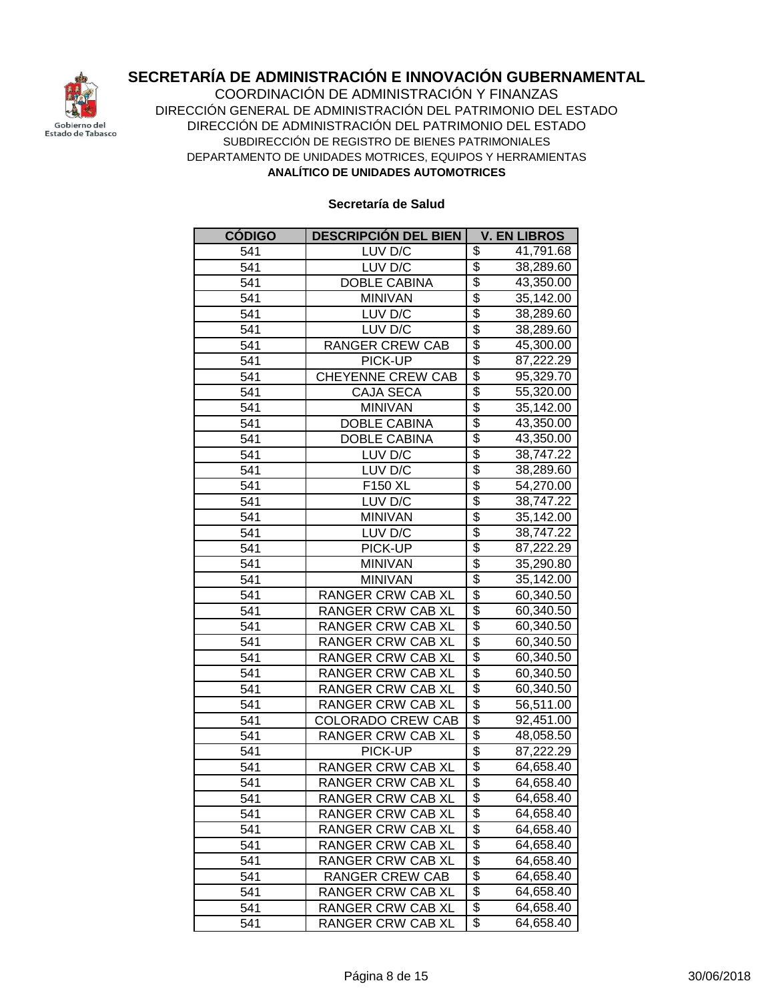

**ANALÍTICO DE UNIDADES AUTOMOTRICES** COORDINACIÓN DE ADMINISTRACIÓN Y FINANZAS DIRECCIÓN GENERAL DE ADMINISTRACIÓN DEL PATRIMONIO DEL ESTADO DIRECCIÓN DE ADMINISTRACIÓN DEL PATRIMONIO DEL ESTADO SUBDIRECCIÓN DE REGISTRO DE BIENES PATRIMONIALES DEPARTAMENTO DE UNIDADES MOTRICES, EQUIPOS Y HERRAMIENTAS

| <b>CÓDIGO</b>    | <b>DESCRIPCIÓN DEL BIEN</b> | <b>V. EN LIBROS</b>                   |
|------------------|-----------------------------|---------------------------------------|
| 541              | LUV D/C                     | \$<br>41,791.68                       |
| 541              | LUV D/C                     | \$<br>38,289.60                       |
| $\overline{541}$ | <b>DOBLE CABINA</b>         | \$<br>43,350.00                       |
| 541              | <b>MINIVAN</b>              | \$<br>35,142.00                       |
| 541              | LUV D/C                     | \$<br>38,289.60                       |
| 541              | LUV D/C                     | \$<br>38,289.60                       |
| 541              | RANGER CREW CAB             | $\overline{\$}$<br>45,300.00          |
| 541              | PICK-UP                     | \$<br>87,222.29                       |
| 541              | CHEYENNE CREW CAB           | \$<br>95,329.70                       |
| 541              | <b>CAJA SECA</b>            | $\overline{\$}$<br>55,320.00          |
| 541              | <b>MINIVAN</b>              | \$<br>35,142.00                       |
| 541              | <b>DOBLE CABINA</b>         | \$<br>43,350.00                       |
| 541              | <b>DOBLE CABINA</b>         | $\overline{\$}$<br>43,350.00          |
| 541              | LUV D/C                     | \$<br>38,747.22                       |
| 541              | LUV D/C                     | \$<br>38,289.60                       |
| 541              | F150 XL                     | \$<br>54,270.00                       |
| 541              | LUV D/C                     | \$<br>38,747.22                       |
| 541              | <b>MINIVAN</b>              | \$<br>35,142.00                       |
| 541              | LUV D/C                     | \$<br>38,747.22                       |
| 541              | PICK-UP                     | \$<br>87,222.29                       |
| 541              | <b>MINIVAN</b>              | \$<br>35,290.80                       |
| 541              | <b>MINIVAN</b>              | $\overline{\$}$<br>35,142.00          |
| 541              | <b>RANGER CRW CAB XL</b>    | $\overline{\mathcal{L}}$<br>60,340.50 |
| 541              | <b>RANGER CRW CAB XL</b>    | \$<br>60,340.50                       |
| 541              | <b>RANGER CRW CAB XL</b>    | \$<br>60,340.50                       |
| 541              | <b>RANGER CRW CAB XL</b>    | \$<br>60,340.50                       |
| 541              | <b>RANGER CRW CAB XL</b>    | \$<br>60,340.50                       |
| 541              | <b>RANGER CRW CAB XL</b>    | $\overline{\$}$<br>60,340.50          |
| 541              | <b>RANGER CRW CAB XL</b>    | $\overline{\$}$<br>60,340.50          |
| 541              | <b>RANGER CRW CAB XL</b>    | \$<br>56,511.00                       |
| 541              | <b>COLORADO CREW CAB</b>    | \$<br>92,451.00                       |
| 541              | RANGER CRW CAB XL           | \$<br>48,058.50                       |
| 541              | PICK-UP                     | \$<br>87,222.29                       |
| 541              | <b>RANGER CRW CAB XL</b>    | \$<br>64,658.40                       |
| 541              | RANGER CRW CAB XL           | \$<br>64,658.40                       |
| 541              | RANGER CRW CAB XL           | \$<br>64,658.40                       |
| 541              | <b>RANGER CRW CAB XL</b>    | \$<br>64,658.40                       |
| 541              | RANGER CRW CAB XL           | \$<br>64,658.40                       |
| 541              | RANGER CRW CAB XL           | \$<br>64,658.40                       |
| 541              | RANGER CRW CAB XL           | \$<br>64,658.40                       |
| 541              | RANGER CREW CAB             | \$<br>64,658.40                       |
| 541              | RANGER CRW CAB XL           | \$<br>64,658.40                       |
| 541              | RANGER CRW CAB XL           | \$<br>64,658.40                       |
| 541              | RANGER CRW CAB XL           | \$<br>64,658.40                       |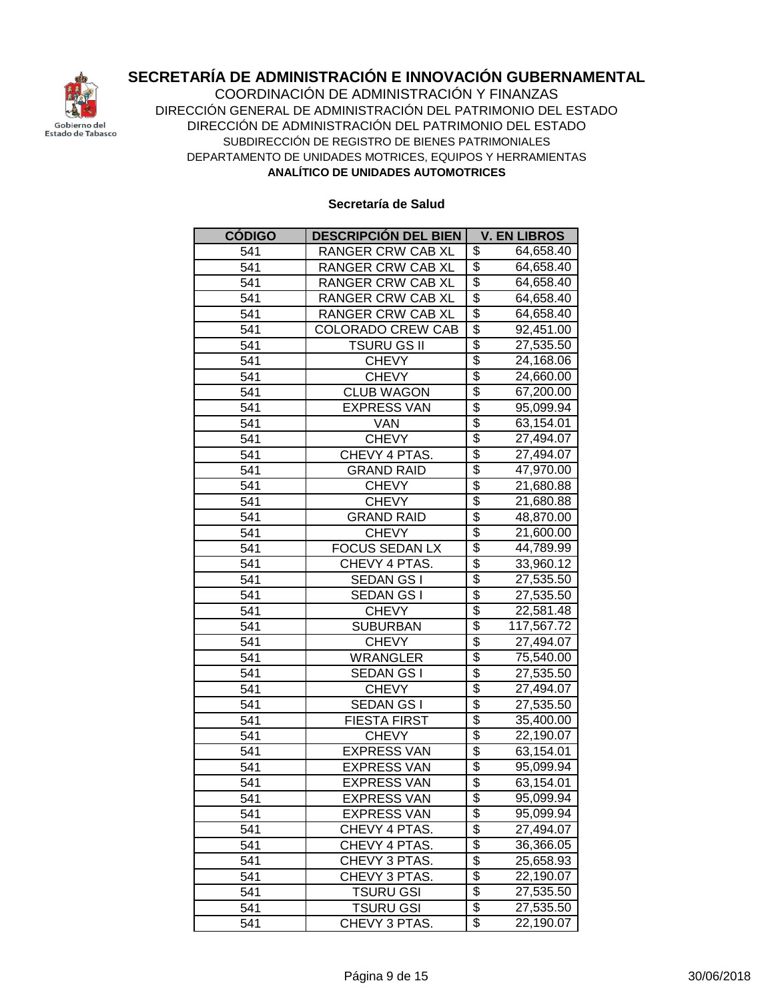

**ANALÍTICO DE UNIDADES AUTOMOTRICES** COORDINACIÓN DE ADMINISTRACIÓN Y FINANZAS DIRECCIÓN GENERAL DE ADMINISTRACIÓN DEL PATRIMONIO DEL ESTADO DIRECCIÓN DE ADMINISTRACIÓN DEL PATRIMONIO DEL ESTADO SUBDIRECCIÓN DE REGISTRO DE BIENES PATRIMONIALES DEPARTAMENTO DE UNIDADES MOTRICES, EQUIPOS Y HERRAMIENTAS

| <b>CÓDIGO</b> | <b>DESCRIPCIÓN DEL BIEN</b> | <b>V. EN LIBROS</b>                   |
|---------------|-----------------------------|---------------------------------------|
| 541           | RANGER CRW CAB XL           | \$<br>64,658.40                       |
| 541           | <b>RANGER CRW CAB XL</b>    | \$<br>64,658.40                       |
| 541           | <b>RANGER CRW CAB XL</b>    | \$<br>64,658.40                       |
| 541           | <b>RANGER CRW CAB XL</b>    | $\overline{\$}$<br>64,658.40          |
| 541           | <b>RANGER CRW CAB XL</b>    | \$<br>64,658.40                       |
| 541           | <b>COLORADO CREW CAB</b>    | \$<br>$\overline{92,451.00}$          |
| 541           | <b>TSURU GS II</b>          | \$<br>27,535.50                       |
| 541           | <b>CHEVY</b>                | \$<br>24,168.06                       |
| 541           | <b>CHEVY</b>                | \$<br>24,660.00                       |
| 541           | <b>CLUB WAGON</b>           | \$<br>67,200.00                       |
| 541           | <b>EXPRESS VAN</b>          | $\overline{\$}$<br>95,099.94          |
| 541           | <b>VAN</b>                  | $\overline{\$}$<br>63,154.01          |
| 541           | <b>CHEVY</b>                | \$<br>27,494.07                       |
| 541           | CHEVY 4 PTAS.               | \$<br>27,494.07                       |
| 541           | <b>GRAND RAID</b>           | \$<br>47,970.00                       |
| 541           | <b>CHEVY</b>                | \$<br>21,680.88                       |
| 541           | <b>CHEVY</b>                | \$<br>21,680.88                       |
| 541           | GRAND RAID                  | \$<br>48,870.00                       |
| 541           | <b>CHEVY</b>                | \$<br>21,600.00                       |
| 541           | <b>FOCUS SEDAN LX</b>       | \$<br>44,789.99                       |
| 541           | CHEVY 4 PTAS.               | $\overline{\$}$<br>33,960.12          |
| 541           | SEDAN GS I                  | $\overline{\mathcal{L}}$<br>27,535.50 |
| 541           | SEDAN GS I                  | $\overline{\$}$<br>27,535.50          |
| 541           | <b>CHEVY</b>                | $\overline{\$}$<br>22,581.48          |
| 541           | <b>SUBURBAN</b>             | \$<br>117,567.72                      |
| 541           | <b>CHEVY</b>                | \$<br>27,494.07                       |
| 541           | <b>WRANGLER</b>             | \$<br>75,540.00                       |
| 541           | SEDAN GS I                  | \$<br>27,535.50                       |
| 541           | <b>CHEVY</b>                | $\overline{\$}$<br>27,494.07          |
| 541           | <b>SEDAN GS I</b>           | \$<br>27,535.50                       |
| 541           | <b>FIESTA FIRST</b>         | $\overline{\$}$<br>35,400.00          |
| 541           | <b>CHEVY</b>                | \$<br>22,190.07                       |
| 541           | <b>EXPRESS VAN</b>          | $\overline{\$}$<br>63,154.01          |
| 541           | <b>EXPRESS VAN</b>          | \$<br>95,099.94                       |
| 541           | <b>EXPRESS VAN</b>          | \$<br>63,154.01                       |
| 541           | <b>EXPRESS VAN</b>          | \$<br>95,099.94                       |
| 541           | <b>EXPRESS VAN</b>          | \$<br>95,099.94                       |
| 541           | CHEVY 4 PTAS.               | \$<br>27,494.07                       |
| 541           | CHEVY 4 PTAS.               | \$<br>36,366.05                       |
| 541           | CHEVY 3 PTAS.               | \$<br>25,658.93                       |
| 541           | CHEVY 3 PTAS.               | \$<br>22,190.07                       |
| 541           | <b>TSURU GSI</b>            | \$<br>27,535.50                       |
| 541           | <b>TSURU GSI</b>            | \$<br>27,535.50                       |
| 541           | CHEVY 3 PTAS.               | \$<br>22,190.07                       |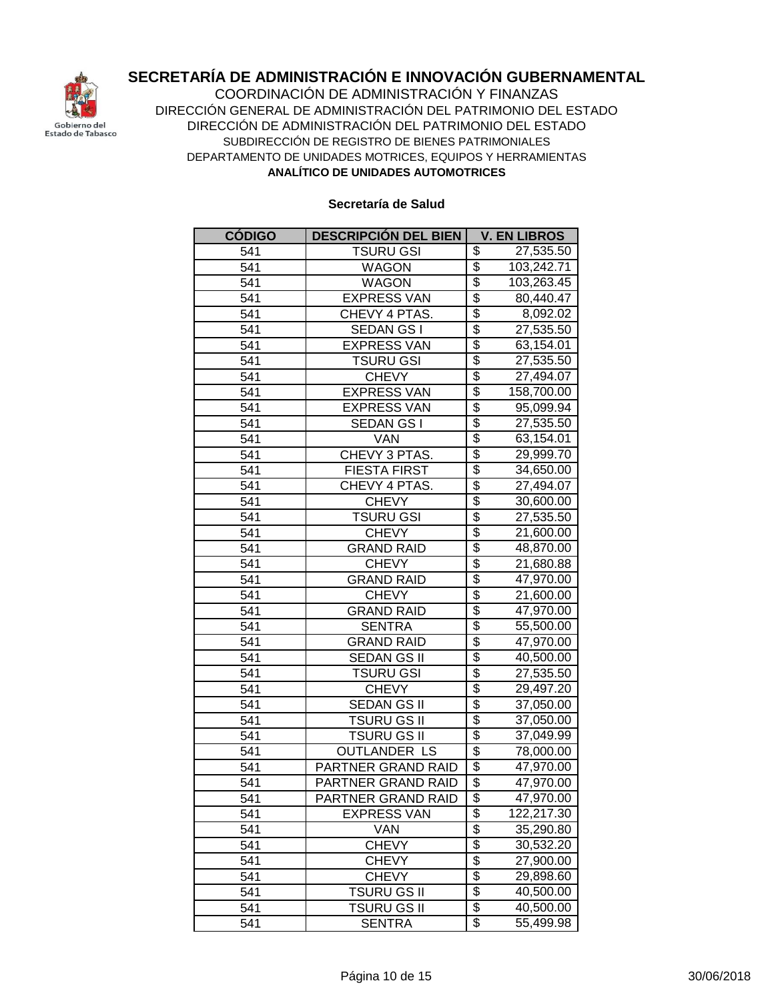

**ANALÍTICO DE UNIDADES AUTOMOTRICES** COORDINACIÓN DE ADMINISTRACIÓN Y FINANZAS DIRECCIÓN GENERAL DE ADMINISTRACIÓN DEL PATRIMONIO DEL ESTADO DIRECCIÓN DE ADMINISTRACIÓN DEL PATRIMONIO DEL ESTADO SUBDIRECCIÓN DE REGISTRO DE BIENES PATRIMONIALES DEPARTAMENTO DE UNIDADES MOTRICES, EQUIPOS Y HERRAMIENTAS

| <b>CÓDIGO</b> | <b>DESCRIPCIÓN DEL BIEN</b> | <b>V. EN LIBROS</b>                   |
|---------------|-----------------------------|---------------------------------------|
| 541           | <b>TSURU GSI</b>            | \$<br>27,535.50                       |
| 541           | <b>WAGON</b>                | \$<br>103,242.71                      |
| 541           | <b>WAGON</b>                | \$<br>103,263.45                      |
| 541           | <b>EXPRESS VAN</b>          | \$<br>80,440.47                       |
| 541           | CHEVY 4 PTAS.               | \$<br>8,092.02                        |
| 541           | <b>SEDAN GS I</b>           | $\overline{\$}$<br>27,535.50          |
| 541           | <b>EXPRESS VAN</b>          | \$<br>63,154.01                       |
| 541           | <b>TSURU GSI</b>            | \$<br>27,535.50                       |
| 541           | <b>CHEVY</b>                | \$<br>27,494.07                       |
| 541           | <b>EXPRESS VAN</b>          | \$<br>158,700.00                      |
| 541           | <b>EXPRESS VAN</b>          | $\overline{\$}$<br>95,099.94          |
| 541           | SEDAN GS I                  | \$<br>27,535.50                       |
| 541           | VAN                         | \$<br>63,154.01                       |
| 541           | CHEVY 3 PTAS.               | \$<br>29,999.70                       |
| 541           | <b>FIESTA FIRST</b>         | $\overline{\$}$<br>34,650.00          |
| 541           | CHEVY 4 PTAS.               | \$<br>27,494.07                       |
| 541           | <b>CHEVY</b>                | $\overline{\$}$<br>30,600.00          |
| 541           | <b>TSURU GSI</b>            | $\overline{\$}$<br>27,535.50          |
| 541           | <b>CHEVY</b>                | $\overline{\$}$<br>21,600.00          |
| 541           | <b>GRAND RAID</b>           | $\overline{\$}$<br>48,870.00          |
| 541           | <b>CHEVY</b>                | $\overline{\mathcal{S}}$<br>21,680.88 |
| 541           | <b>GRAND RAID</b>           | $\overline{\$}$<br>47,970.00          |
| 541           | <b>CHEVY</b>                | $\overline{\$}$<br>21,600.00          |
| 541           | <b>GRAND RAID</b>           | \$<br>47,970.00                       |
| 541           | <b>SENTRA</b>               | \$<br>55,500.00                       |
| 541           | <b>GRAND RAID</b>           | \$<br>47,970.00                       |
| 541           | <b>SEDAN GS II</b>          | \$<br>40,500.00                       |
| 541           | <b>TSURU GSI</b>            | $\overline{\$}$<br>27,535.50          |
| 541           | <b>CHEVY</b>                | \$<br>29,497.20                       |
| 541           | <b>SEDAN GS II</b>          | $\overline{\$}$<br>37,050.00          |
| 541           | <b>TSURU GS II</b>          | \$<br>37,050.00                       |
| 541           | <b>TSURU GS II</b>          | $\overline{\$}$<br>37,049.99          |
| 541           | OUTLANDER LS                | $\overline{\$}$<br>78,000.00          |
| 541           | PARTNER GRAND RAID          | \$<br>47,970.00                       |
| 541           | PARTNER GRAND RAID          | \$<br>47,970.00                       |
| 541           | PARTNER GRAND RAID          | \$<br>47,970.00                       |
| 541           | <b>EXPRESS VAN</b>          | \$<br>122,217.30                      |
| 541           | VAN                         | $\overline{\$}$<br>35,290.80          |
| 541           | <b>CHEVY</b>                | \$<br>30,532.20                       |
| 541           | <b>CHEVY</b>                | $\overline{\$}$<br>27,900.00          |
| 541           | <b>CHEVY</b>                | \$<br>29,898.60                       |
| 541           | TSURU GS II                 | \$<br>40,500.00                       |
| 541           | TSURU GS II                 | \$<br>40,500.00                       |
| 541           | <b>SENTRA</b>               | $\overline{\mathcal{E}}$<br>55,499.98 |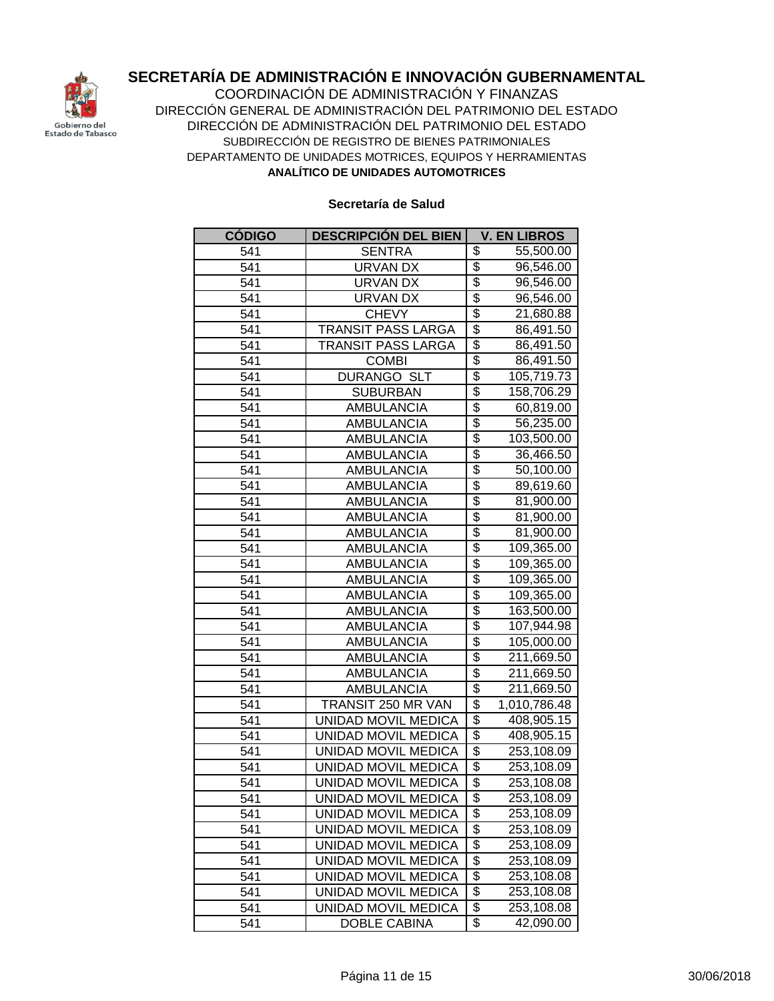

**ANALÍTICO DE UNIDADES AUTOMOTRICES** COORDINACIÓN DE ADMINISTRACIÓN Y FINANZAS DIRECCIÓN GENERAL DE ADMINISTRACIÓN DEL PATRIMONIO DEL ESTADO DIRECCIÓN DE ADMINISTRACIÓN DEL PATRIMONIO DEL ESTADO SUBDIRECCIÓN DE REGISTRO DE BIENES PATRIMONIALES DEPARTAMENTO DE UNIDADES MOTRICES, EQUIPOS Y HERRAMIENTAS

| <b>CÓDIGO</b> | <b>DESCRIPCIÓN DEL BIEN</b> | <b>V. EN LIBROS</b>                   |
|---------------|-----------------------------|---------------------------------------|
| 541           | <b>SENTRA</b>               | \$<br>55,500.00                       |
| 541           | <b>URVAN DX</b>             | \$<br>96,546.00                       |
| 541           | <b>URVAN DX</b>             | \$<br>96,546.00                       |
| 541           | <b>URVAN DX</b>             | \$<br>96,546.00                       |
| 541           | <b>CHEVY</b>                | \$<br>21,680.88                       |
| 541           | TRANSIT PASS LARGA          | \$<br>86,491.50                       |
| 541           | <b>TRANSIT PASS LARGA</b>   | $\overline{\$}$<br>86,491.50          |
| 541           | <b>COMBI</b>                | \$<br>86,491.50                       |
| 541           | <b>DURANGO SLT</b>          | \$<br>105,719.73                      |
| 541           | <b>SUBURBAN</b>             | \$<br>158,706.29                      |
| 541           | <b>AMBULANCIA</b>           | $\overline{\$}$<br>60,819.00          |
| 541           | <b>AMBULANCIA</b>           | \$<br>56,235.00                       |
| 541           | <b>AMBULANCIA</b>           | \$<br>103,500.00                      |
| 541           | AMBULANCIA                  | \$<br>36,466.50                       |
| 541           | AMBULANCIA                  | \$<br>50,100.00                       |
| 541           | AMBULANCIA                  | \$<br>89,619.60                       |
| 541           | AMBULANCIA                  | $\overline{\$}$<br>81,900.00          |
| 541           | <b>AMBULANCIA</b>           | \$<br>81,900.00                       |
| 541           | <b>AMBULANCIA</b>           | $\overline{\$}$<br>81,900.00          |
| 541           | <b>AMBULANCIA</b>           | $\overline{\$}$<br>109,365.00         |
| 541           | <b>AMBULANCIA</b>           | $\overline{\$}$<br>109,365.00         |
| 541           | <b>AMBULANCIA</b>           | $\overline{\$}$<br>109,365.00         |
| 541           | <b>AMBULANCIA</b>           | $\overline{\$}$<br>109,365.00         |
| 541           | <b>AMBULANCIA</b>           | \$<br>163,500.00                      |
| 541           | <b>AMBULANCIA</b>           | \$<br>107,944.98                      |
| 541           | <b>AMBULANCIA</b>           | \$<br>105,000.00                      |
| 541           | <b>AMBULANCIA</b>           | \$<br>211,669.50                      |
| 541           | <b>AMBULANCIA</b>           | $\overline{\$}$<br>211,669.50         |
| 541           | <b>AMBULANCIA</b>           | $\overline{\$}$<br>211,669.50         |
| 541           | TRANSIT 250 MR VAN          | $\overline{\$}$<br>1,010,786.48       |
| 541           | UNIDAD MOVIL MEDICA         | \$<br>408,905.15                      |
| 541           | UNIDAD MOVIL MEDICA         | $\overline{\$}$<br>408,905.15         |
| 541           | UNIDAD MOVIL MEDICA         | \$<br>253,108.09                      |
| 541           | UNIDAD MOVIL MEDICA         | \$<br>253,108.09                      |
| 541           | UNIDAD MOVIL MEDICA         | \$<br>253,108.08                      |
| 541           | UNIDAD MOVIL MEDICA         | \$<br>253,108.09                      |
| 541           | UNIDAD MOVIL MEDICA         | \$<br>253,108.09                      |
| 541           | UNIDAD MOVIL MEDICA         | $\overline{\$}$<br>253,108.09         |
| 541           | UNIDAD MOVIL MEDICA         | \$<br>253,108.09                      |
| 541           | UNIDAD MOVIL MEDICA         | \$<br>253,108.09                      |
| 541           | UNIDAD MOVIL MEDICA         | $\overline{\$}$<br>253,108.08         |
| 541           | UNIDAD MOVIL MEDICA         | \$<br>253,108.08                      |
| 541           | UNIDAD MOVIL MEDICA         | \$<br>253,108.08                      |
| 541           | <b>DOBLE CABINA</b>         | $\overline{\mathcal{E}}$<br>42,090.00 |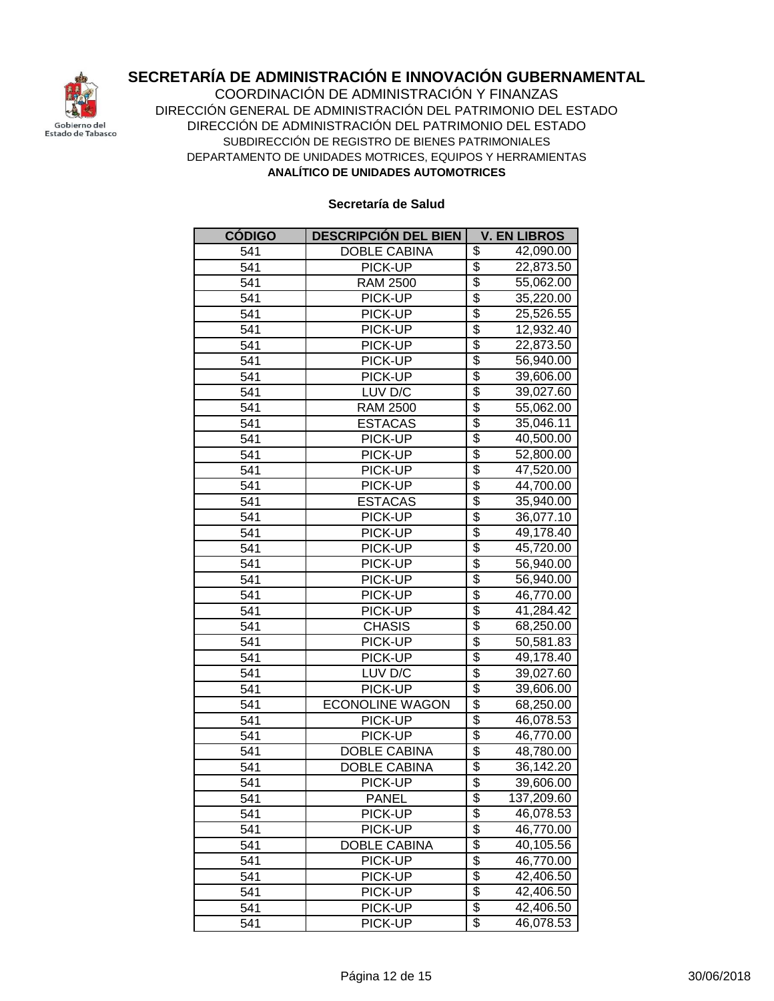

**ANALÍTICO DE UNIDADES AUTOMOTRICES** COORDINACIÓN DE ADMINISTRACIÓN Y FINANZAS DIRECCIÓN GENERAL DE ADMINISTRACIÓN DEL PATRIMONIO DEL ESTADO DIRECCIÓN DE ADMINISTRACIÓN DEL PATRIMONIO DEL ESTADO SUBDIRECCIÓN DE REGISTRO DE BIENES PATRIMONIALES DEPARTAMENTO DE UNIDADES MOTRICES, EQUIPOS Y HERRAMIENTAS

| <b>CÓDIGO</b> | <b>DESCRIPCIÓN DEL BIEN</b> | <b>V. EN LIBROS</b>          |
|---------------|-----------------------------|------------------------------|
| 541           | <b>DOBLE CABINA</b>         | \$<br>42,090.00              |
| 541           | PICK-UP                     | \$<br>22,873.50              |
| 541           | <b>RAM 2500</b>             | \$<br>55,062.00              |
| 541           | PICK-UP                     | \$<br>35,220.00              |
| 541           | PICK-UP                     | \$<br>25,526.55              |
| 541           | PICK-UP                     | \$<br>12,932.40              |
| 541           | PICK-UP                     | \$<br>22,873.50              |
| 541           | PICK-UP                     | \$<br>56,940.00              |
| 541           | PICK-UP                     | \$<br>39,606.00              |
| 541           | LUV D/C                     | \$<br>39,027.60              |
| 541           | <b>RAM 2500</b>             | $\overline{\$}$<br>55,062.00 |
| 541           | <b>ESTACAS</b>              | \$<br>35,046.11              |
| 541           | PICK-UP                     | \$<br>40,500.00              |
| 541           | PICK-UP                     | $\overline{\$}$<br>52,800.00 |
| 541           | PICK-UP                     | \$<br>47,520.00              |
| 541           | PICK-UP                     | \$<br>44,700.00              |
| 541           | <b>ESTACAS</b>              | \$<br>35,940.00              |
| 541           | PICK-UP                     | \$<br>36,077.10              |
| 541           | PICK-UP                     | \$<br>49,178.40              |
| 541           | PICK-UP                     | \$<br>45,720.00              |
| 541           | PICK-UP                     | \$<br>56,940.00              |
| 541           | PICK-UP                     | \$<br>56,940.00              |
| 541           | PICK-UP                     | $\overline{\$}$<br>46,770.00 |
| 541           | PICK-UP                     | \$<br>41,284.42              |
| 541           | <b>CHASIS</b>               | \$<br>68,250.00              |
| 541           | PICK-UP                     | \$<br>50,581.83              |
| 541           | PICK-UP                     | \$<br>49,178.40              |
| 541           | LUV D/C                     | $\overline{\$}$<br>39,027.60 |
| 541           | PICK-UP                     | $\overline{\$}$<br>39,606.00 |
| 541           | <b>ECONOLINE WAGON</b>      | \$<br>68,250.00              |
| 541           | PICK-UP                     | \$<br>46,078.53              |
| 541           | PICK-UP                     | \$<br>46,770.00              |
| 541           | <b>DOBLE CABINA</b>         | \$<br>48,780.00              |
| 541           | DOBLE CABINA                | \$<br>36,142.20              |
| 541           | PICK-UP                     | \$<br>39,606.00              |
| 541           | <b>PANEL</b>                | \$<br>137,209.60             |
| 541           | PICK-UP                     | \$<br>46,078.53              |
| 541           | PICK-UP                     | \$<br>46,770.00              |
| 541           | DOBLE CABINA                | \$<br>40,105.56              |
| 541           | PICK-UP                     | \$<br>46,770.00              |
| 541           | PICK-UP                     | \$<br>42,406.50              |
| 541           | PICK-UP                     | \$<br>42,406.50              |
| 541           | PICK-UP                     | \$<br>42,406.50              |
| 541           | PICK-UP                     | \$<br>46,078.53              |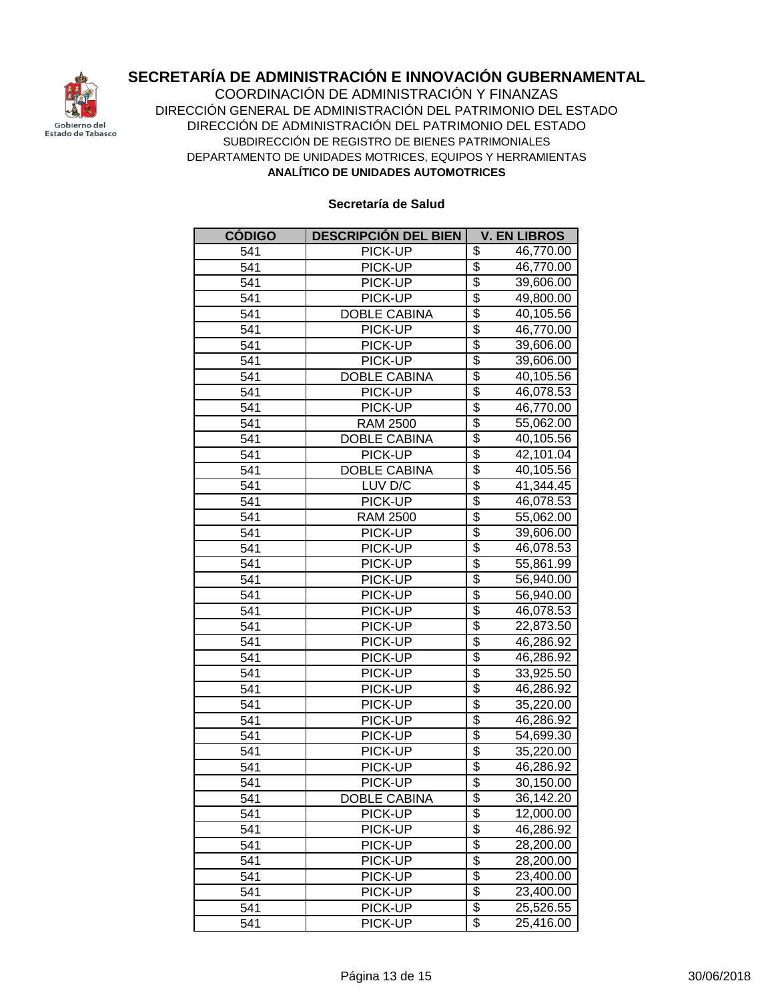

**ANALÍTICO DE UNIDADES AUTOMOTRICES** COORDINACIÓN DE ADMINISTRACIÓN Y FINANZAS DIRECCIÓN GENERAL DE ADMINISTRACIÓN DEL PATRIMONIO DEL ESTADO DIRECCIÓN DE ADMINISTRACIÓN DEL PATRIMONIO DEL ESTADO SUBDIRECCIÓN DE REGISTRO DE BIENES PATRIMONIALES DEPARTAMENTO DE UNIDADES MOTRICES, EQUIPOS Y HERRAMIENTAS

| <b>CÓDIGO</b> | <b>DESCRIPCIÓN DEL BIEN</b> | <b>V. EN LIBROS</b>                   |
|---------------|-----------------------------|---------------------------------------|
| 541           | PICK-UP                     | \$<br>46,770.00                       |
| 541           | PICK-UP                     | \$<br>46,770.00                       |
| 541           | PICK-UP                     | \$<br>39,606.00                       |
| 541           | PICK-UP                     | \$<br>49,800.00                       |
| 541           | <b>DOBLE CABINA</b>         | \$<br>40,105.56                       |
| 541           | PICK-UP                     | \$<br>46,770.00                       |
| 541           | PICK-UP                     | \$<br>39,606.00                       |
| 541           | PICK-UP                     | \$<br>39,606.00                       |
| 541           | <b>DOBLE CABINA</b>         | \$<br>40,105.56                       |
| 541           | PICK-UP                     | \$<br>46,078.53                       |
| 541           | PICK-UP                     | $\overline{\$}$<br>46,770.00          |
| 541           | <b>RAM 2500</b>             | \$<br>55,062.00                       |
| 541           | <b>DOBLE CABINA</b>         | \$<br>40,105.56                       |
| 541           | PICK-UP                     | \$<br>42,101.04                       |
| 541           | <b>DOBLE CABINA</b>         | \$<br>40,105.56                       |
| 541           | LUV D/C                     | \$<br>41,344.45                       |
| 541           | PICK-UP                     | \$<br>46,078.53                       |
| 541           | <b>RAM 2500</b>             | $\overline{\$}$<br>55,062.00          |
| 541           | PICK-UP                     | \$<br>39,606.00                       |
| 541           | PICK-UP                     | \$<br>46,078.53                       |
| 541           | PICK-UP                     | $\overline{\mathcal{G}}$<br>55,861.99 |
| 541           | PICK-UP                     | $\overline{\$}$<br>56,940.00          |
| 541           | PICK-UP                     | $\overline{\$}$<br>56,940.00          |
| 541           | PICK-UP                     | \$<br>46,078.53                       |
| 541           | PICK-UP                     | \$<br>22,873.50                       |
| 541           | PICK-UP                     | \$<br>46,286.92                       |
| 541           | PICK-UP                     | \$<br>46,286.92                       |
| 541           | PICK-UP                     | $\overline{\$}$<br>33,925.50          |
| 541           | PICK-UP                     | \$<br>46,286.92                       |
| 541           | PICK-UP                     | \$<br>35,220.00                       |
| 541           | PICK-UP                     | \$<br>46,286.92                       |
| 541           | PICK-UP                     | $\overline{\$}$<br>54,699.30          |
| 541           | PICK-UP                     | \$<br>35,220.00                       |
| 541           | PICK-UP                     | \$<br>46,286.92                       |
| 541           | PICK-UP                     | \$<br>30,150.00                       |
| 541           | <b>DOBLE CABINA</b>         | \$<br>36,142.20                       |
| 541           | PICK-UP                     | \$<br>12,000.00                       |
| 541           | PICK-UP                     | \$<br>46,286.92<br>$\overline{\$}$    |
| 541           | PICK-UP                     | 28,200.00<br>$\overline{\$}$          |
| 541           | PICK-UP                     | 28,200.00<br>\$                       |
| 541           | PICK-UP                     | 23,400.00<br>$\overline{\$}$          |
| 541           | PICK-UP                     | 23,400.00<br>$\overline{\mathcal{G}}$ |
| 541<br>541    | PICK-UP<br>PICK-UP          | 25,526.55<br>\$<br>25,416.00          |
|               |                             |                                       |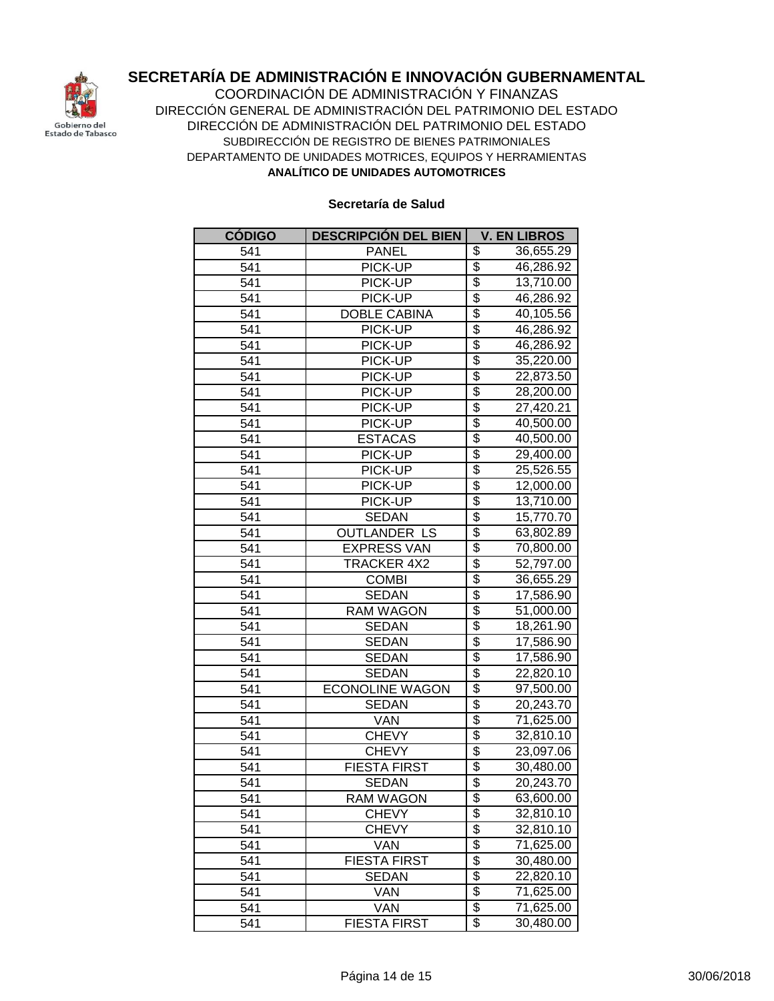

**ANALÍTICO DE UNIDADES AUTOMOTRICES** COORDINACIÓN DE ADMINISTRACIÓN Y FINANZAS DIRECCIÓN GENERAL DE ADMINISTRACIÓN DEL PATRIMONIO DEL ESTADO DIRECCIÓN DE ADMINISTRACIÓN DEL PATRIMONIO DEL ESTADO SUBDIRECCIÓN DE REGISTRO DE BIENES PATRIMONIALES DEPARTAMENTO DE UNIDADES MOTRICES, EQUIPOS Y HERRAMIENTAS

| <b>CÓDIGO</b> | <b>DESCRIPCIÓN DEL BIEN</b> | <b>V. EN LIBROS</b>          |
|---------------|-----------------------------|------------------------------|
| 541           | <b>PANEL</b>                | \$<br>36,655.29              |
| 541           | PICK-UP                     | \$<br>46,286.92              |
| 541           | PICK-UP                     | \$<br>13,710.00              |
| 541           | PICK-UP                     | \$<br>46,286.92              |
| 541           | <b>DOBLE CABINA</b>         | \$<br>40,105.56              |
| 541           | PICK-UP                     | \$<br>46,286.92              |
| 541           | PICK-UP                     | \$<br>46,286.92              |
| 541           | PICK-UP                     | \$<br>35,220.00              |
| 541           | PICK-UP                     | \$<br>22,873.50              |
| 541           | PICK-UP                     | $\overline{\$}$<br>28,200.00 |
| 541           | PICK-UP                     | \$<br>27,420.21              |
| 541           | PICK-UP                     | $\overline{\$}$<br>40,500.00 |
| 541           | <b>ESTACAS</b>              | \$<br>40,500.00              |
| 541           | PICK-UP                     | $\overline{\$}$<br>29,400.00 |
| 541           | PICK-UP                     | \$<br>25,526.55              |
| 541           | PICK-UP                     | $\overline{\$}$<br>12,000.00 |
| 541           | PICK-UP                     | $\overline{\$}$<br>13,710.00 |
| 541           | <b>SEDAN</b>                | \$<br>15,770.70              |
| 541           | <b>OUTLANDER LS</b>         | $\overline{\$}$<br>63,802.89 |
| 541           | <b>EXPRESS VAN</b>          | \$<br>70,800.00              |
| 541           | <b>TRACKER 4X2</b>          | $\overline{\$}$<br>52,797.00 |
| 541           | <b>COMBI</b>                | \$<br>36,655.29              |
| 541           | <b>SEDAN</b>                | $\overline{\$}$<br>17,586.90 |
| 541           | <b>RAM WAGON</b>            | \$<br>51,000.00              |
| 541           | <b>SEDAN</b>                | \$<br>18,261.90              |
| 541           | <b>SEDAN</b>                | \$<br>17,586.90              |
| 541           | <b>SEDAN</b>                | $\overline{\$}$<br>17,586.90 |
| 541           | <b>SEDAN</b>                | \$<br>22,820.10              |
| 541           | <b>ECONOLINE WAGON</b>      | $\overline{\$}$<br>97,500.00 |
| 541           | <b>SEDAN</b>                | \$<br>20,243.70              |
| 541           | <b>VAN</b>                  | \$<br>71,625.00              |
| 541           | <b>CHEVY</b>                | \$<br>32,810.10              |
| 541           | <b>CHEVY</b>                | \$<br>23,097.06              |
| 541           | <b>FIESTA FIRST</b>         | \$<br>30,480.00              |
| 541           | <b>SEDAN</b>                | $\overline{\$}$<br>20,243.70 |
| 541           | <b>RAM WAGON</b>            | \$<br>63,600.00              |
| 541           | <b>CHEVY</b>                | \$<br>32,810.10              |
| 541           | <b>CHEVY</b>                | \$<br>32,810.10              |
| 541           | VAN                         | \$<br>71,625.00              |
| 541           | <b>FIESTA FIRST</b>         | \$<br>30,480.00              |
| 541           | <b>SEDAN</b>                | $\overline{\$}$<br>22,820.10 |
| 541           | VAN                         | $\overline{\$}$<br>71,625.00 |
| 541           | VAN                         | \$<br>71,625.00              |
| 541           | <b>FIESTA FIRST</b>         | $\overline{\$}$<br>30,480.00 |